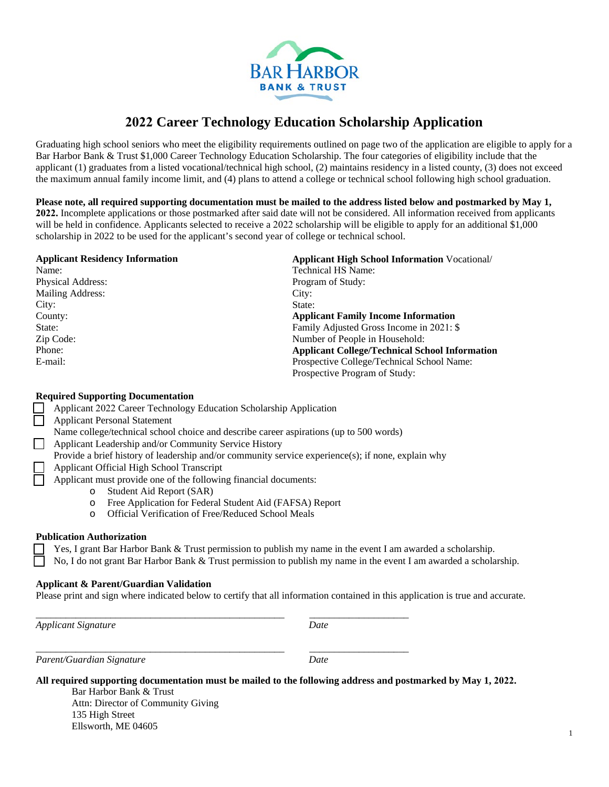

# **2022 Career Technology Education Scholarship Application**

Graduating high school seniors who meet the eligibility requirements outlined on page two of the application are eligible to apply for a Bar Harbor Bank & Trust \$1,000 Career Technology Education Scholarship. The four categories of eligibility include that the applicant (1) graduates from a listed vocational/technical high school, (2) maintains residency in a listed county, (3) does not exceed the maximum annual family income limit, and (4) plans to attend a college or technical school following high school graduation.

**Please note, all required supporting documentation must be mailed to the address listed below and postmarked by May 1, 2022.** Incomplete applications or those postmarked after said date will not be considered. All information received from applicants will be held in confidence. Applicants selected to receive a 2022 scholarship will be eligible to apply for an additional \$1,000 scholarship in 2022 to be used for the applicant's second year of college or technical school.

### **Applicant Residency Information**

| Name <sup>.</sup> |
|-------------------|
| Physical Address: |
| Mailing Address:  |
| City:             |
| County:           |
| State:            |
| Zip Code:         |
| Phone:            |
| E-mail:           |

**Applicant High School Information** Vocational/ Technical HS Name: Program of Study: City: State: **Applicant Family Income Information**  Family Adjusted Gross Income in 2021: \$ Number of People in Household: **Applicant College/Technical School Information**  Prospective College/Technical School Name: Prospective Program of Study:

## **Required Supporting Documentation**

| Applicant 2022 Career Technology Education Scholarship Application                                 |  |  |
|----------------------------------------------------------------------------------------------------|--|--|
| <b>Applicant Personal Statement</b>                                                                |  |  |
| Name college/technical school choice and describe career aspirations (up to 500 words)             |  |  |
| Applicant Leadership and/or Community Service History                                              |  |  |
| Provide a brief history of leadership and/or community service experience(s); if none, explain why |  |  |
| Applicant Official High School Transcript                                                          |  |  |
| Applicant must provide one of the following financial documents:                                   |  |  |
| Student Aid Report (SAR)<br>$\circ$                                                                |  |  |
| Free Application for Federal Student Aid (FAFSA) Report<br>$\circ$                                 |  |  |
| <b>Official Verification of Free/Reduced School Meals</b><br>$\circ$                               |  |  |
|                                                                                                    |  |  |

\_\_\_\_\_\_\_\_\_\_\_\_\_\_\_\_\_\_\_\_\_\_\_\_\_\_\_\_\_\_\_\_\_\_\_\_\_\_\_\_\_\_\_\_\_\_\_\_\_\_ \_\_\_\_\_\_\_\_\_\_\_\_\_\_\_\_\_\_\_\_

\_\_\_\_\_\_\_\_\_\_\_\_\_\_\_\_\_\_\_\_\_\_\_\_\_\_\_\_\_\_\_\_\_\_\_\_\_\_\_\_\_\_\_\_\_\_\_\_\_\_ \_\_\_\_\_\_\_\_\_\_\_\_\_\_\_\_\_\_\_\_

#### **Publication Authorization**

 Yes, I grant Bar Harbor Bank & Trust permission to publish my name in the event I am awarded a scholarship. No, I do not grant Bar Harbor Bank & Trust permission to publish my name in the event I am awarded a scholarship.

## **Applicant & Parent/Guardian Validation**

Please print and sign where indicated below to certify that all information contained in this application is true and accurate.

*Applicant Signature Date*

*Parent/Guardian Signature Date*

**All required supporting documentation must be mailed to the following address and postmarked by May 1, 2022.**

Bar Harbor Bank & Trust Attn: Director of Community Giving 135 High Street Ellsworth, ME 04605